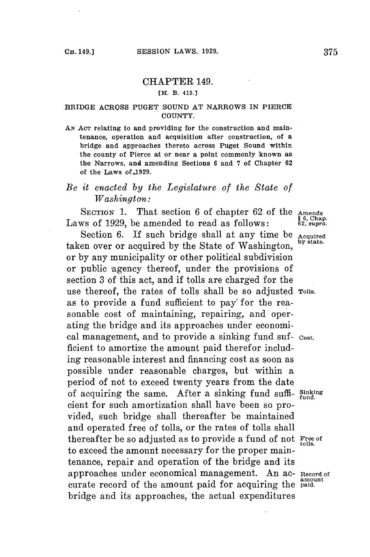## CHAPTER 149.

## **[H. B. 419.)**

## **BRIDGE ACROSS PUGET SOUND AT NARROWS IN PIERCE COUNTY.**

*AN* **ACT relating to and providing for the construction and maintenance, operation and acquisition after construction, of a bridge and approaches thereto across Puget Sound within the county of Pierce at or near a point commonly known as the Narrows, and amending Sections 6 and 7 of Chapter 62 of the Laws of.1929.**

## *Be it enacted by the Legislature of the State of Washington:*

**SECTION 1.** That section **6** of chapter **62** of the **Amends** Laws of 1929, be amended to read as follows:

Section 6. If such bridge shall at any time be **Acquired**<br>A TIME is the section of the state. taken over or acquired by the State of Washington, or **by** any municipality or other political subdivision or public agency thereof, under the provisions of section **3** of this act, and if tolls are charged for the use thereof, the rates of tolls shall be so adjusted **Tolls.** as to provide a fund sufficient to pay' for the reasonable **cost** of maintaining, repairing, and operating the bridge and its approaches under economical management, and to provide a sinking fund suf- cost. ficient to amortize the amount paid therefor including reasonable interest and financing cost as soon as possible under reasonable charges, but within a period of not to exceed twenty years from the date of acquiring the same. After a sinking fund suffi- **Sinking** fund. cient for such amortization shall have been so provided, such bridge shall thereafter be maintained and operated free of tolls, or the rates of tolls shall thereafter be so adjusted as to provide a fund of not Free of tolls. to exceed the amount necessary **for** the proper maintenance, repair and operation of the bridge and its approaches under economical management. An ac- Record of **amount** curate record of the amount paid for acquiring the **paid.** bridge and its approaches, the actual expenditures

**§6, Chap.**